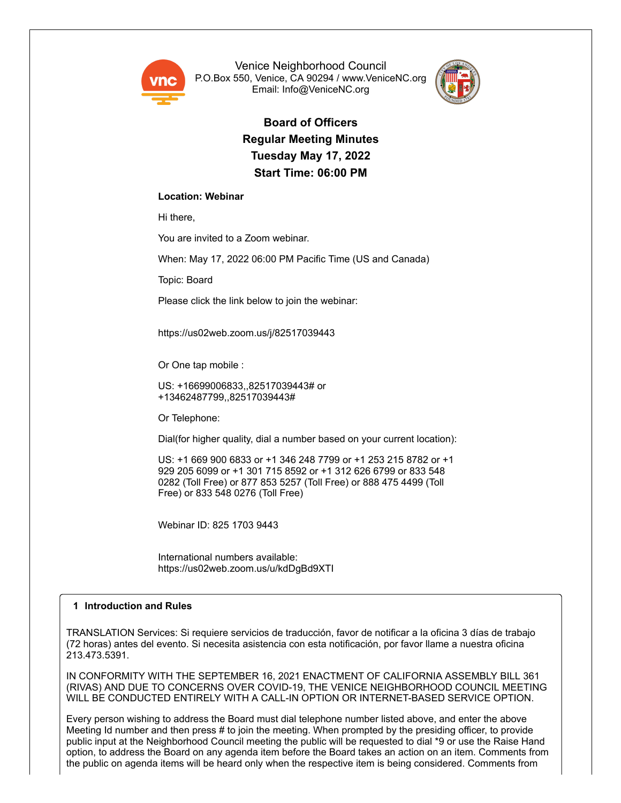

Venice Neighborhood Council P.O.Box 550, Venice, CA 90294 / www.VeniceNC.org Email: Info@VeniceNC.org



**Board of Officers Regular Meeting Minutes Tuesday May 17, 2022 Start Time: 06:00 PM**

## **Location: Webinar**

Hi there,

You are invited to a Zoom webinar.

When: May 17, 2022 06:00 PM Pacific Time (US and Canada)

Topic: Board

Please click the link below to join the webinar:

https://us02web.zoom.us/j/82517039443

Or One tap mobile :

US: +16699006833,,82517039443# or +13462487799,,82517039443#

Or Telephone:

Dial(for higher quality, dial a number based on your current location):

US: +1 669 900 6833 or +1 346 248 7799 or +1 253 215 8782 or +1 929 205 6099 or +1 301 715 8592 or +1 312 626 6799 or 833 548 0282 (Toll Free) or 877 853 5257 (Toll Free) or 888 475 4499 (Toll Free) or 833 548 0276 (Toll Free)

Webinar ID: 825 1703 9443

International numbers available: https://us02web.zoom.us/u/kdDgBd9XTI

## **1 Introduction and Rules**

TRANSLATION Services: Si requiere servicios de traducción, favor de notificar a la oficina 3 días de trabajo (72 horas) antes del evento. Si necesita asistencia con esta notificación, por favor llame a nuestra oficina 213.473.5391.

IN CONFORMITY WITH THE SEPTEMBER 16, 2021 ENACTMENT OF CALIFORNIA ASSEMBLY BILL 361 (RIVAS) AND DUE TO CONCERNS OVER COVID-19, THE VENICE NEIGHBORHOOD COUNCIL MEETING WILL BE CONDUCTED ENTIRELY WITH A CALL-IN OPTION OR INTERNET-BASED SERVICE OPTION.

Every person wishing to address the Board must dial telephone number listed above, and enter the above Meeting Id number and then press # to join the meeting. When prompted by the presiding officer, to provide public input at the Neighborhood Council meeting the public will be requested to dial \*9 or use the Raise Hand option, to address the Board on any agenda item before the Board takes an action on an item. Comments from the public on agenda items will be heard only when the respective item is being considered. Comments from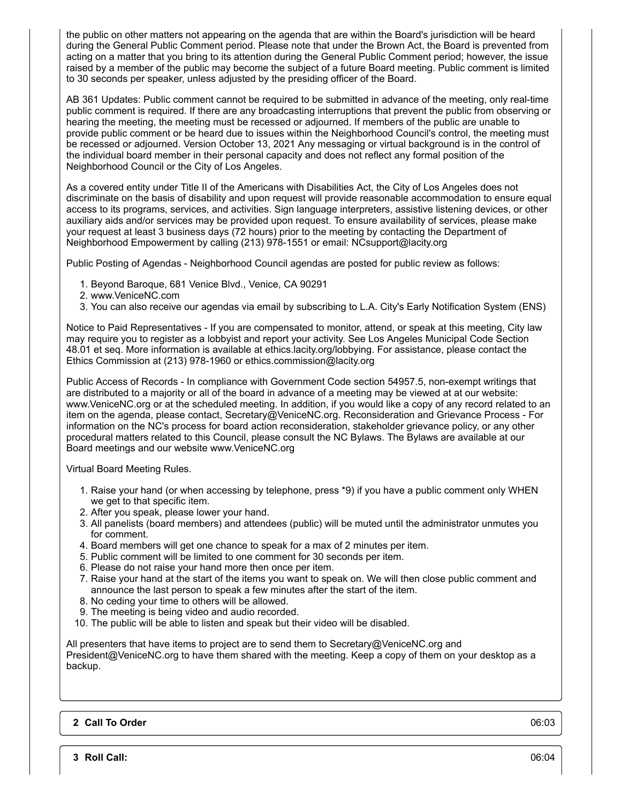the public on other matters not appearing on the agenda that are within the Board's jurisdiction will be heard during the General Public Comment period. Please note that under the Brown Act, the Board is prevented from acting on a matter that you bring to its attention during the General Public Comment period; however, the issue raised by a member of the public may become the subject of a future Board meeting. Public comment is limited to 30 seconds per speaker, unless adjusted by the presiding officer of the Board.

AB 361 Updates: Public comment cannot be required to be submitted in advance of the meeting, only real-time public comment is required. If there are any broadcasting interruptions that prevent the public from observing or hearing the meeting, the meeting must be recessed or adjourned. If members of the public are unable to provide public comment or be heard due to issues within the Neighborhood Council's control, the meeting must be recessed or adjourned. Version October 13, 2021 Any messaging or virtual background is in the control of the individual board member in their personal capacity and does not reflect any formal position of the Neighborhood Council or the City of Los Angeles.

As a covered entity under Title II of the Americans with Disabilities Act, the City of Los Angeles does not discriminate on the basis of disability and upon request will provide reasonable accommodation to ensure equal access to its programs, services, and activities. Sign language interpreters, assistive listening devices, or other auxiliary aids and/or services may be provided upon request. To ensure availability of services, please make your request at least 3 business days (72 hours) prior to the meeting by contacting the Department of Neighborhood Empowerment by calling (213) 978-1551 or email: NCsupport@lacity.org

Public Posting of Agendas - Neighborhood Council agendas are posted for public review as follows:

- 1. Beyond Baroque, 681 Venice Blvd., Venice, CA 90291
- 2. www.VeniceNC.com
- 3. You can also receive our agendas via email by subscribing to L.A. City's Early Notification System (ENS)

Notice to Paid Representatives - If you are compensated to monitor, attend, or speak at this meeting, City law may require you to register as a lobbyist and report your activity. See Los Angeles Municipal Code Section 48.01 et seq. More information is available at ethics.lacity.org/lobbying. For assistance, please contact the Ethics Commission at (213) 978-1960 or ethics.commission@lacity.org

Public Access of Records - In compliance with Government Code section 54957.5, non-exempt writings that are distributed to a majority or all of the board in advance of a meeting may be viewed at at our website: www.VeniceNC.org or at the scheduled meeting. In addition, if you would like a copy of any record related to an item on the agenda, please contact, Secretary@VeniceNC.org. Reconsideration and Grievance Process - For information on the NC's process for board action reconsideration, stakeholder grievance policy, or any other procedural matters related to this Council, please consult the NC Bylaws. The Bylaws are available at our Board meetings and our website www.VeniceNC.org

Virtual Board Meeting Rules.

- 1. Raise your hand (or when accessing by telephone, press \*9) if you have a public comment only WHEN we get to that specific item.
- 2. After you speak, please lower your hand.
- 3. All panelists (board members) and attendees (public) will be muted until the administrator unmutes you for comment.
- 4. Board members will get one chance to speak for a max of 2 minutes per item.
- 5. Public comment will be limited to one comment for 30 seconds per item.
- 6. Please do not raise your hand more then once per item.
- 7. Raise your hand at the start of the items you want to speak on. We will then close public comment and announce the last person to speak a few minutes after the start of the item.
- 8. No ceding your time to others will be allowed.
- 9. The meeting is being video and audio recorded.
- 10. The public will be able to listen and speak but their video will be disabled.

All presenters that have items to project are to send them to Secretary@VeniceNC.org and President@VeniceNC.org to have them shared with the meeting. Keep a copy of them on your desktop as a backup.

## **2 Call To Order** 06:03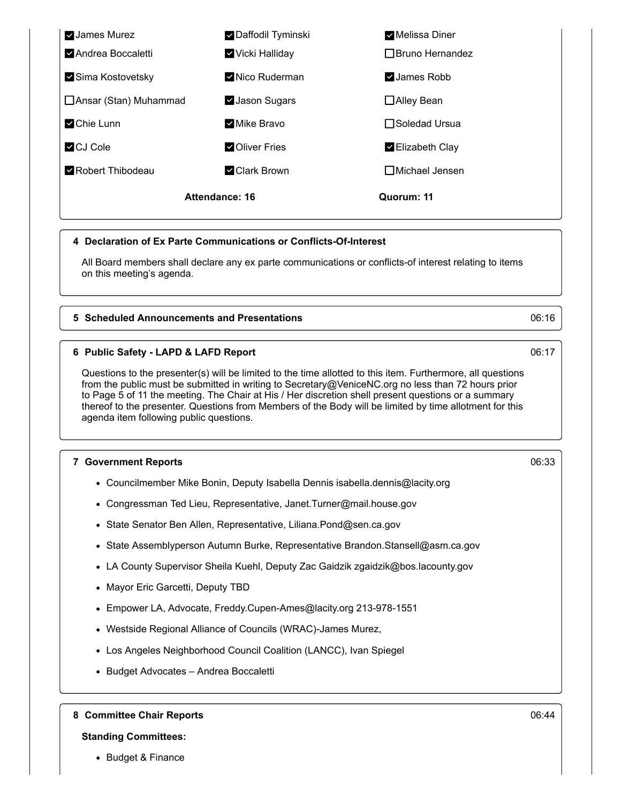

## **4 Declaration of Ex Parte Communications or Conflicts-Of-Interest**

All Board members shall declare any ex parte communications or conflicts-of interest relating to items on this meeting's agenda.

## **5 Scheduled Announcements and Presentations** 06:16

## **6 Public Safety - LAPD & LAFD Report** 06:17

Questions to the presenter(s) will be limited to the time allotted to this item. Furthermore, all questions from the public must be submitted in writing to Secretary@VeniceNC.org no less than 72 hours prior to Page 5 of 11 the meeting. The Chair at His / Her discretion shell present questions or a summary thereof to the presenter. Questions from Members of the Body will be limited by time allotment for this agenda item following public questions.

### **7 Government Reports** 06:33

- Councilmember Mike Bonin, Deputy Isabella Dennis isabella.dennis@lacity.org
- Congressman Ted Lieu, Representative, Janet.Turner@mail.house.gov
- State Senator Ben Allen, Representative, Liliana.Pond@sen.ca.gov
- State Assemblyperson Autumn Burke, Representative Brandon.Stansell@asm.ca.gov
- LA County Supervisor Sheila Kuehl, Deputy Zac Gaidzik zgaidzik@bos.lacounty.gov
- Mayor Eric Garcetti, Deputy TBD
- Empower LA, Advocate, Freddy.Cupen-Ames@lacity.org 213-978-1551
- Westside Regional Alliance of Councils (WRAC)-James Murez,
- Los Angeles Neighborhood Council Coalition (LANCC), Ivan Spiegel
- Budget Advocates Andrea Boccaletti

**8 Committee Chair Reports** 06:44

## **Standing Committees:**

• Budget & Finance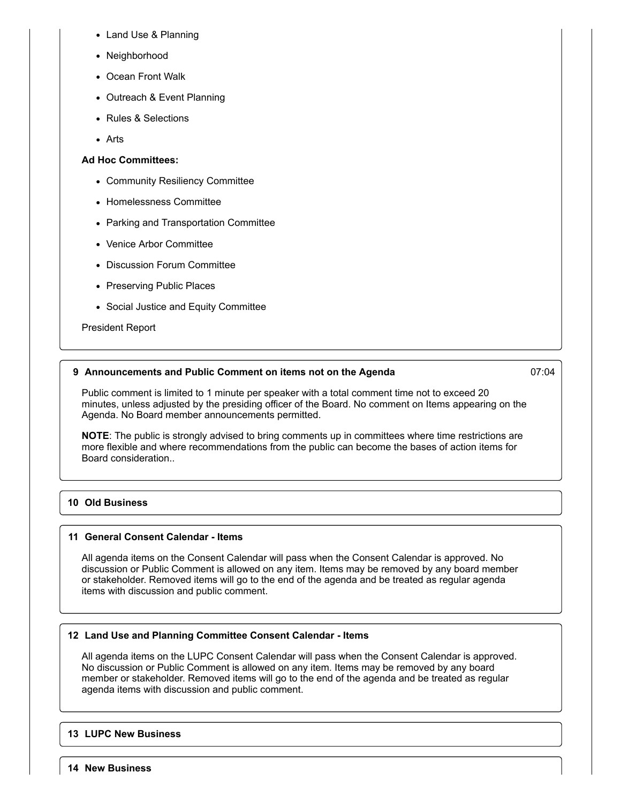- Land Use & Planning
- Neighborhood
- Ocean Front Walk
- Outreach & Event Planning
- Rules & Selections
- Arts

## **Ad Hoc Committees:**

- Community Resiliency Committee
- Homelessness Committee
- Parking and Transportation Committee
- Venice Arbor Committee
- Discussion Forum Committee
- Preserving Public Places
- Social Justice and Equity Committee

## President Report

## **9 Announcements and Public Comment on items not on the Agenda** 07:04

Public comment is limited to 1 minute per speaker with a total comment time not to exceed 20 minutes, unless adjusted by the presiding officer of the Board. No comment on Items appearing on the Agenda. No Board member announcements permitted.

**NOTE**: The public is strongly advised to bring comments up in committees where time restrictions are more flexible and where recommendations from the public can become the bases of action items for Board consideration..

# **10 Old Business**

## **11 General Consent Calendar - Items**

All agenda items on the Consent Calendar will pass when the Consent Calendar is approved. No discussion or Public Comment is allowed on any item. Items may be removed by any board member or stakeholder. Removed items will go to the end of the agenda and be treated as regular agenda items with discussion and public comment.

## **12 Land Use and Planning Committee Consent Calendar - Items**

All agenda items on the LUPC Consent Calendar will pass when the Consent Calendar is approved. No discussion or Public Comment is allowed on any item. Items may be removed by any board member or stakeholder. Removed items will go to the end of the agenda and be treated as regular agenda items with discussion and public comment.

## **13 LUPC New Business**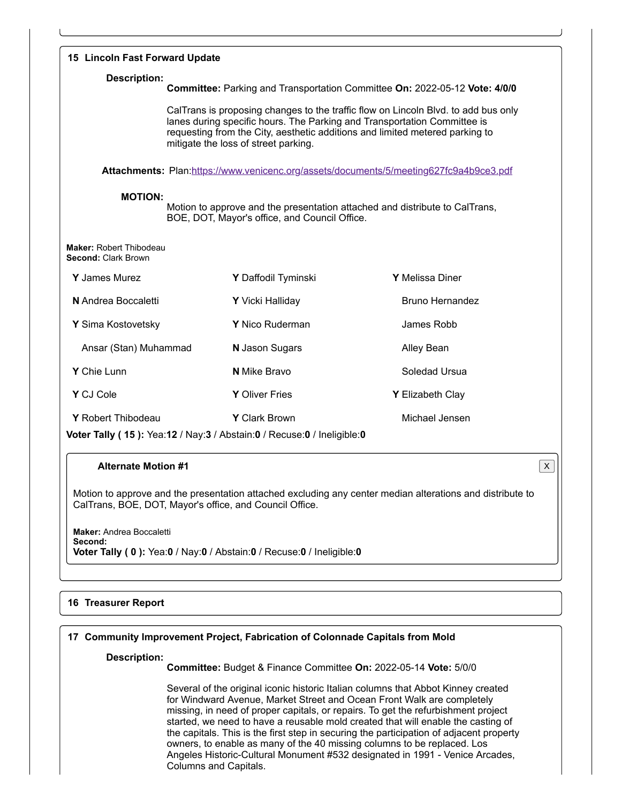| 15 Lincoln Fast Forward Update                                                                                                                 |                                                                                                                                                                                                                                                                                        |                                                                                        |  |  |
|------------------------------------------------------------------------------------------------------------------------------------------------|----------------------------------------------------------------------------------------------------------------------------------------------------------------------------------------------------------------------------------------------------------------------------------------|----------------------------------------------------------------------------------------|--|--|
| <b>Description:</b><br>Committee: Parking and Transportation Committee On: 2022-05-12 Vote: 4/0/0                                              |                                                                                                                                                                                                                                                                                        |                                                                                        |  |  |
|                                                                                                                                                | CalTrans is proposing changes to the traffic flow on Lincoln Blvd. to add bus only<br>lanes during specific hours. The Parking and Transportation Committee is<br>requesting from the City, aesthetic additions and limited metered parking to<br>mitigate the loss of street parking. |                                                                                        |  |  |
|                                                                                                                                                |                                                                                                                                                                                                                                                                                        | Attachments: Plan:https://www.venicenc.org/assets/documents/5/meeting627fc9a4b9ce3.pdf |  |  |
| <b>MOTION:</b><br>Motion to approve and the presentation attached and distribute to CalTrans,<br>BOE, DOT, Mayor's office, and Council Office. |                                                                                                                                                                                                                                                                                        |                                                                                        |  |  |
| <b>Maker: Robert Thibodeau</b><br><b>Second: Clark Brown</b>                                                                                   |                                                                                                                                                                                                                                                                                        |                                                                                        |  |  |
| <b>Y</b> James Murez                                                                                                                           | Y Daffodil Tyminski                                                                                                                                                                                                                                                                    | Y Melissa Diner                                                                        |  |  |
| N Andrea Boccaletti                                                                                                                            | Y Vicki Halliday                                                                                                                                                                                                                                                                       | <b>Bruno Hernandez</b>                                                                 |  |  |
| Y Sima Kostovetsky                                                                                                                             | Y Nico Ruderman                                                                                                                                                                                                                                                                        | James Robb                                                                             |  |  |
| Ansar (Stan) Muhammad                                                                                                                          | N Jason Sugars                                                                                                                                                                                                                                                                         | Alley Bean                                                                             |  |  |
| Y Chie Lunn                                                                                                                                    | <b>N</b> Mike Bravo                                                                                                                                                                                                                                                                    | Soledad Ursua                                                                          |  |  |
| Y CJ Cole                                                                                                                                      | <b>Y</b> Oliver Fries                                                                                                                                                                                                                                                                  | Y Elizabeth Clay                                                                       |  |  |
| Y Robert Thibodeau                                                                                                                             | Y Clark Brown                                                                                                                                                                                                                                                                          | Michael Jensen                                                                         |  |  |
|                                                                                                                                                | Voter Tally (15): Yea:12 / Nay:3 / Abstain:0 / Recuse:0 / Ineligible:0                                                                                                                                                                                                                 |                                                                                        |  |  |

# **Alternate Motion #1** X

Motion to approve and the presentation attached excluding any center median alterations and distribute to CalTrans, BOE, DOT, Mayor's office, and Council Office.

**Maker:** Andrea Boccaletti **Second: Voter Tally ( 0 ):** Yea:**0** / Nay:**0** / Abstain:**0** / Recuse:**0** / Ineligible:**0**

# **16 Treasurer Report**

## **17 Community Improvement Project, Fabrication of Colonnade Capitals from Mold**

## **Description:**

**Committee:** Budget & Finance Committee **On:** 2022-05-14 **Vote:** 5/0/0

Several of the original iconic historic Italian columns that Abbot Kinney created for Windward Avenue, Market Street and Ocean Front Walk are completely missing, in need of proper capitals, or repairs. To get the refurbishment project started, we need to have a reusable mold created that will enable the casting of the capitals. This is the first step in securing the participation of adjacent property owners, to enable as many of the 40 missing columns to be replaced. Los Angeles Historic-Cultural Monument #532 designated in 1991 - Venice Arcades, Columns and Capitals.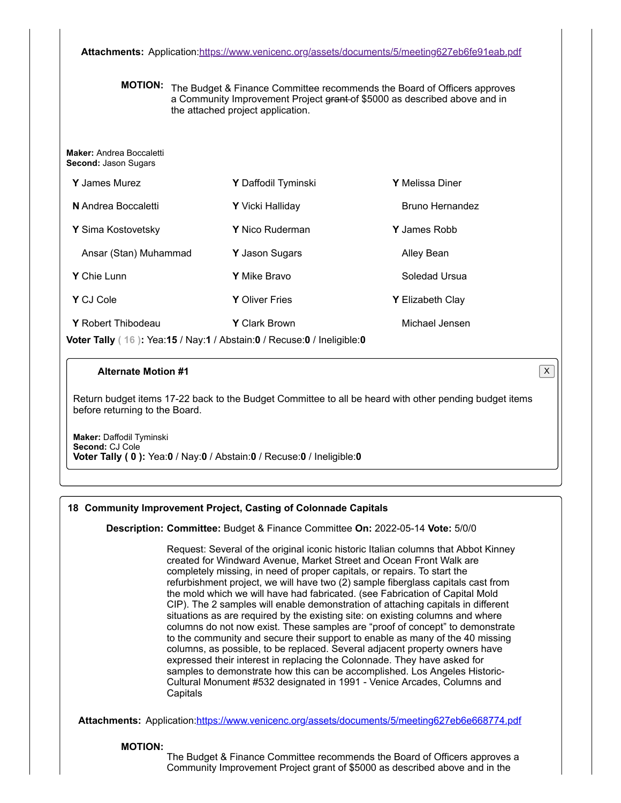**Attachments:** Application:<https://www.venicenc.org/assets/documents/5/meeting627eb6fe91eab.pdf>

**MOTION:** The Budget & Finance Committee recommends the Board of Officers approves a Community Improvement Project grant of \$5000 as described above and in the attached project application.

**Maker:** Andrea Boccaletti **Second:** Jason Sugars

| <b>Y</b> James Murez                                                   | Y Daffodil Tyminski     | <b>Y</b> Melissa Diner  |  |  |
|------------------------------------------------------------------------|-------------------------|-------------------------|--|--|
| N Andrea Boccaletti                                                    | <b>Y</b> Vicki Halliday | Bruno Hernandez         |  |  |
| Y Sima Kostovetsky                                                     | <b>Y</b> Nico Ruderman  | <b>Y</b> James Robb     |  |  |
| Ansar (Stan) Muhammad                                                  | <b>Y</b> Jason Sugars   | Alley Bean              |  |  |
| <b>Y</b> Chie Lunn                                                     | <b>Y</b> Mike Bravo     | Soledad Ursua           |  |  |
| Y CJ Cole                                                              | <b>Y</b> Oliver Fries   | <b>Y</b> Elizabeth Clay |  |  |
| Y Robert Thibodeau                                                     | <b>Y</b> Clark Brown    | Michael Jensen          |  |  |
| Voter Tally (16): Yea:15 / Nay:1 / Abstain:0 / Recuse:0 / Ineligible:0 |                         |                         |  |  |

## **Alternate Motion #1** X

Return budget items 17-22 back to the Budget Committee to all be heard with other pending budget items before returning to the Board.

**Maker:** Daffodil Tyminski **Second:** CJ Cole **Voter Tally ( 0 ):** Yea:**0** / Nay:**0** / Abstain:**0** / Recuse:**0** / Ineligible:**0**

## **18 Community Improvement Project, Casting of Colonnade Capitals**

**Description: Committee:** Budget & Finance Committee **On:** 2022-05-14 **Vote:** 5/0/0

Request: Several of the original iconic historic Italian columns that Abbot Kinney created for Windward Avenue, Market Street and Ocean Front Walk are completely missing, in need of proper capitals, or repairs. To start the refurbishment project, we will have two (2) sample fiberglass capitals cast from the mold which we will have had fabricated. (see Fabrication of Capital Mold CIP). The 2 samples will enable demonstration of attaching capitals in different situations as are required by the existing site: on existing columns and where columns do not now exist. These samples are "proof of concept" to demonstrate to the community and secure their support to enable as many of the 40 missing columns, as possible, to be replaced. Several adjacent property owners have expressed their interest in replacing the Colonnade. They have asked for samples to demonstrate how this can be accomplished. Los Angeles Historic-Cultural Monument #532 designated in 1991 - Venice Arcades, Columns and **Capitals** 

Attachments: Application:<https://www.venicenc.org/assets/documents/5/meeting627eb6e668774.pdf>

#### **MOTION:**

The Budget & Finance Committee recommends the Board of Officers approves a Community Improvement Project grant of \$5000 as described above and in the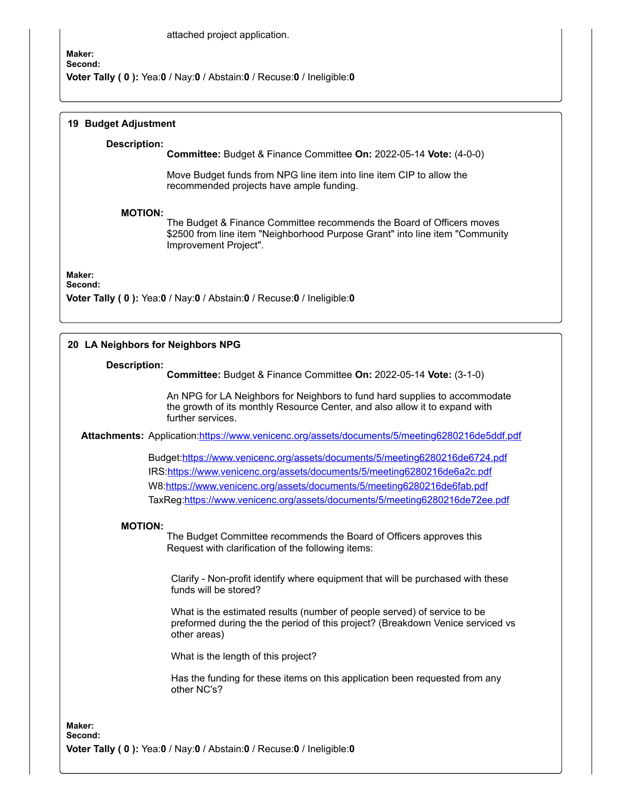#### attached project application.

# **Maker: Second:**

**Voter Tally ( 0 ):** Yea:**0** / Nay:**0** / Abstain:**0** / Recuse:**0** / Ineligible:**0**

## **19 Budget Adjustment**

#### **Description:**

**Committee:** Budget & Finance Committee **On:** 2022-05-14 **Vote:** (4-0-0)

Move Budget funds from NPG line item into line item CIP to allow the recommended projects have ample funding.

#### **MOTION:**

The Budget & Finance Committee recommends the Board of Officers moves \$2500 from line item "Neighborhood Purpose Grant" into line item "Community Improvement Project".

**Maker:**

**Second:**

**Voter Tally ( 0 ):** Yea:**0** / Nay:**0** / Abstain:**0** / Recuse:**0** / Ineligible:**0**

## **20 LA Neighbors for Neighbors NPG**

#### **Description:**

**Committee:** Budget & Finance Committee **On:** 2022-05-14 **Vote:** (3-1-0)

An NPG for LA Neighbors for Neighbors to fund hard supplies to accommodate the growth of its monthly Resource Center, and also allow it to expand with further services.

**Attachments:** Application:<https://www.venicenc.org/assets/documents/5/meeting6280216de5ddf.pdf>

Budget:<https://www.venicenc.org/assets/documents/5/meeting6280216de6724.pdf> IRS[:https://www.venicenc.org/assets/documents/5/meeting6280216de6a2c.pdf](https://www.venicenc.org/assets/documents/5/meeting6280216de6a2c.pdf) W8:<https://www.venicenc.org/assets/documents/5/meeting6280216de6fab.pdf> TaxReg:<https://www.venicenc.org/assets/documents/5/meeting6280216de72ee.pdf>

#### **MOTION:**

The Budget Committee recommends the Board of Officers approves this Request with clarification of the following items:

Clarify - Non-profit identify where equipment that will be purchased with these funds will be stored?

What is the estimated results (number of people served) of service to be preformed during the the period of this project? (Breakdown Venice serviced vs other areas)

What is the length of this project?

Has the funding for these items on this application been requested from any other NC's?

**Maker: Second: Voter Tally ( 0 ):** Yea:**0** / Nay:**0** / Abstain:**0** / Recuse:**0** / Ineligible:**0**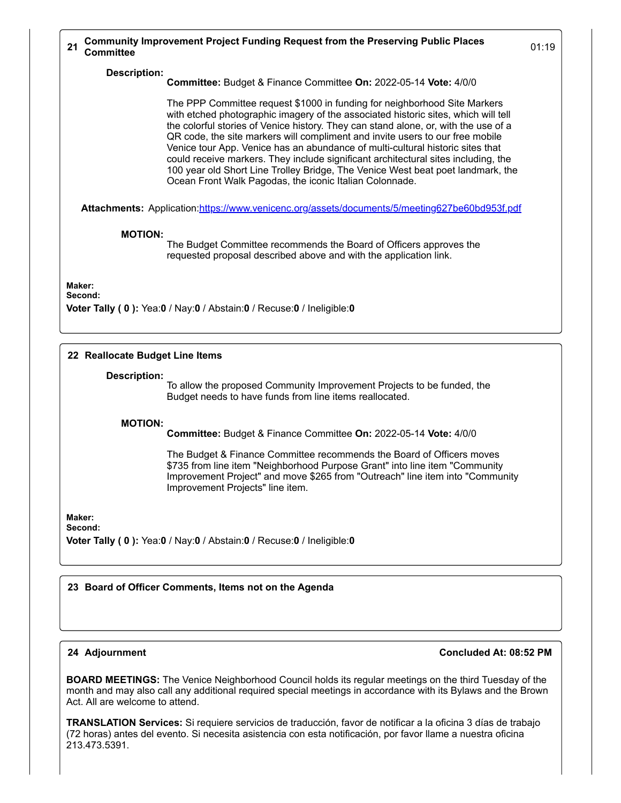### **Description:**

**Committee:** Budget & Finance Committee **On:** 2022-05-14 **Vote:** 4/0/0

The PPP Committee request \$1000 in funding for neighborhood Site Markers with etched photographic imagery of the associated historic sites, which will tell the colorful stories of Venice history. They can stand alone, or, with the use of a QR code, the site markers will compliment and invite users to our free mobile Venice tour App. Venice has an abundance of multi-cultural historic sites that could receive markers. They include significant architectural sites including, the 100 year old Short Line Trolley Bridge, The Venice West beat poet landmark, the Ocean Front Walk Pagodas, the iconic Italian Colonnade.

Attachments: Application:<https://www.venicenc.org/assets/documents/5/meeting627be60bd953f.pdf>

## **MOTION:**

The Budget Committee recommends the Board of Officers approves the requested proposal described above and with the application link.

**Maker:**

# **Second:**

**Voter Tally ( 0 ):** Yea:**0** / Nay:**0** / Abstain:**0** / Recuse:**0** / Ineligible:**0**

## **22 Reallocate Budget Line Items**

#### **Description:**

To allow the proposed Community Improvement Projects to be funded, the Budget needs to have funds from line items reallocated.

#### **MOTION:**

**Committee:** Budget & Finance Committee **On:** 2022-05-14 **Vote:** 4/0/0

The Budget & Finance Committee recommends the Board of Officers moves \$735 from line item "Neighborhood Purpose Grant" into line item "Community Improvement Project" and move \$265 from "Outreach" line item into "Community Improvement Projects" line item.

**Maker: Second:**

**Voter Tally ( 0 ):** Yea:**0** / Nay:**0** / Abstain:**0** / Recuse:**0** / Ineligible:**0**

## **23 Board of Officer Comments, Items not on the Agenda**

## **24 Adjournment Concluded At: 08:52 PM**

**BOARD MEETINGS:** The Venice Neighborhood Council holds its regular meetings on the third Tuesday of the month and may also call any additional required special meetings in accordance with its Bylaws and the Brown Act. All are welcome to attend.

**TRANSLATION Services:** Si requiere servicios de traducción, favor de notificar a la oficina 3 días de trabajo (72 horas) antes del evento. Si necesita asistencia con esta notificación, por favor llame a nuestra oficina 213.473.5391.